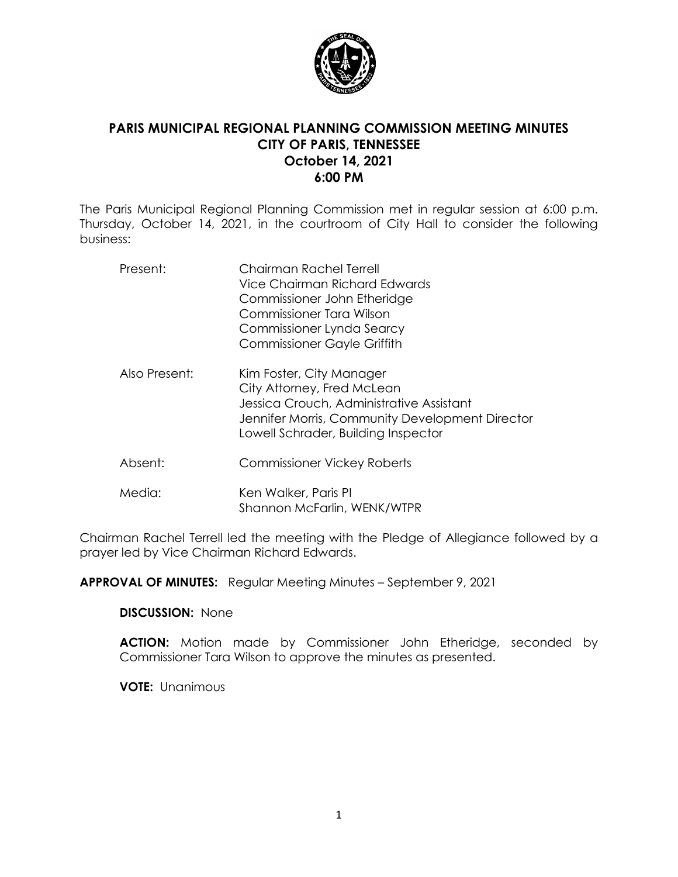

# **PARIS MUNICIPAL REGIONAL PLANNING COMMISSION MEETING MINUTES CITY OF PARIS, TENNESSEE October 14, 2021 6:00 PM**

The Paris Municipal Regional Planning Commission met in regular session at 6:00 p.m. Thursday, October 14, 2021, in the courtroom of City Hall to consider the following business:

| Present:      | Chairman Rachel Terrell<br>Vice Chairman Richard Fdwards<br>Commissioner John Etheridge<br>Commissioner Tara Wilson<br>Commissioner Lynda Searcy<br><b>Commissioner Gayle Griffith</b>       |
|---------------|----------------------------------------------------------------------------------------------------------------------------------------------------------------------------------------------|
| Also Present: | Kim Foster, City Manager<br>City Attorney, Fred McLean<br>Jessica Crouch, Administrative Assistant<br>Jennifer Morris, Community Development Director<br>Lowell Schrader, Building Inspector |
| Absent:       | <b>Commissioner Vickey Roberts</b>                                                                                                                                                           |
| Media:        | Ken Walker, Paris PI<br>Shannon McFarlin, WENK/WTPR                                                                                                                                          |

Chairman Rachel Terrell led the meeting with the Pledge of Allegiance followed by a prayer led by Vice Chairman Richard Edwards.

**APPROVAL OF MINUTES:** Regular Meeting Minutes – September 9, 2021

**DISCUSSION:** None

**ACTION:** Motion made by Commissioner John Etheridge, seconded by Commissioner Tara Wilson to approve the minutes as presented.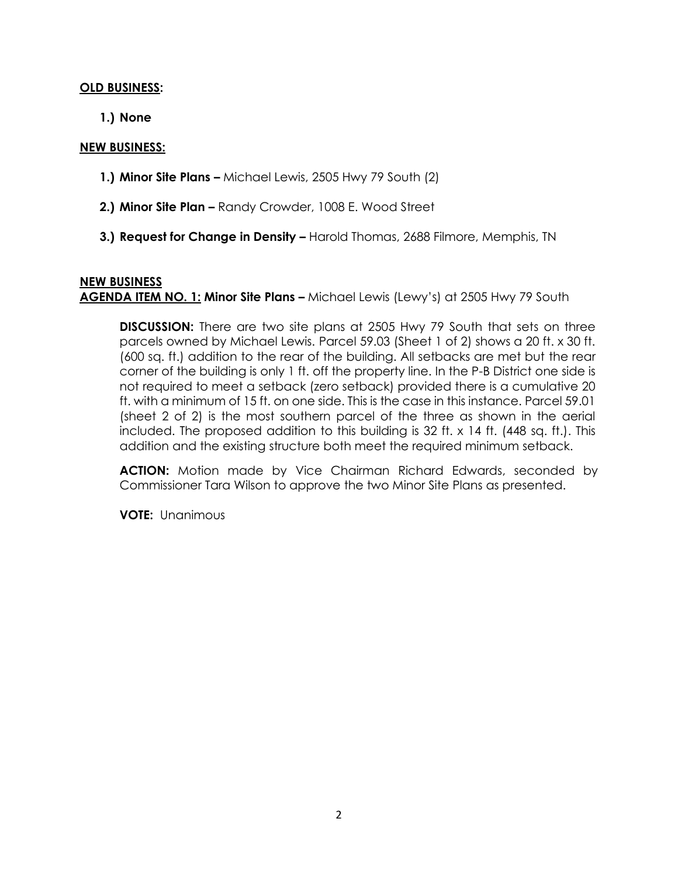### **OLD BUSINESS:**

**1.) None**

### **NEW BUSINESS:**

- **1.) Minor Site Plans –** Michael Lewis, 2505 Hwy 79 South (2)
- **2.) Minor Site Plan –** Randy Crowder, 1008 E. Wood Street
- **3.) Request for Change in Density –** Harold Thomas, 2688 Filmore, Memphis, TN

# **NEW BUSINESS AGENDA ITEM NO. 1: Minor Site Plans -** Michael Lewis (Lewy's) at 2505 Hwy 79 South

**DISCUSSION:** There are two site plans at 2505 Hwy 79 South that sets on three parcels owned by Michael Lewis. Parcel 59.03 (Sheet 1 of 2) shows a 20 ft. x 30 ft. (600 sq. ft.) addition to the rear of the building. All setbacks are met but the rear corner of the building is only 1 ft. off the property line. In the P-B District one side is not required to meet a setback (zero setback) provided there is a cumulative 20 ft. with a minimum of 15 ft. on one side. This is the case in this instance. Parcel 59.01 (sheet 2 of 2) is the most southern parcel of the three as shown in the aerial included. The proposed addition to this building is 32 ft. x 14 ft. (448 sq. ft.). This addition and the existing structure both meet the required minimum setback.

**ACTION:** Motion made by Vice Chairman Richard Edwards, seconded by Commissioner Tara Wilson to approve the two Minor Site Plans as presented.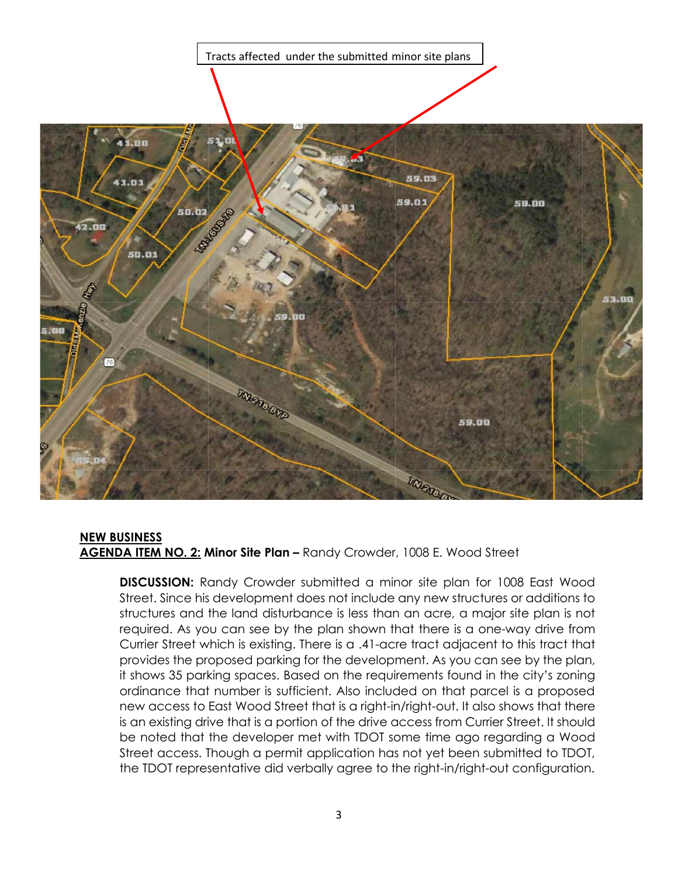Tracts affected under the submitted minor site plans



#### **NEW BUSINESS AGENDA ITEM NO. 2: Minor Site Plan –** Randy Crowder, 1008 E. Wood Street

**DISCUSSION:** Randy Crowder submitted a minor site plan for 1008 East Wood Street. Since his development does not include any new structures or additions to structures and the land disturbance is less than an acre, a major site plan is not required. As you can see by the plan shown that there is a one-way drive from Currier Street which is existing. There is a .41-acre tract adjacent to this tract that provides the proposed parking for the development. As you can see by the plan, it shows 35 parking spaces. Based on the requirements found in the city's zoning ordinance that number is sufficient. Also included on that parcel is a proposed new access to East Wood Street that is a right-in/right-out. It also shows that there is an existing drive that is a portion of the drive access from Currier Street. It should be noted that the developer met with TDOT some time ago regarding a Wood Street access. Though a permit application has not yet been submitted to TDOT, the TDOT representative did verbally agree to the right-in/right-out configuration.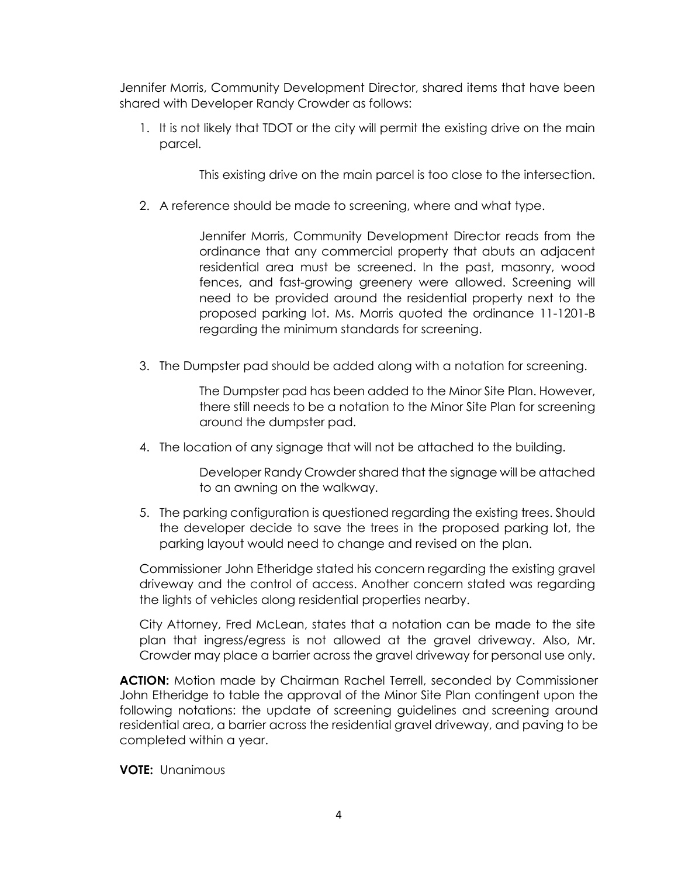Jennifer Morris, Community Development Director, shared items that have been shared with Developer Randy Crowder as follows:

1. It is not likely that TDOT or the city will permit the existing drive on the main parcel.

This existing drive on the main parcel is too close to the intersection.

2. A reference should be made to screening, where and what type.

Jennifer Morris, Community Development Director reads from the ordinance that any commercial property that abuts an adjacent residential area must be screened. In the past, masonry, wood fences, and fast-growing greenery were allowed. Screening will need to be provided around the residential property next to the proposed parking lot. Ms. Morris quoted the ordinance 11-1201-B regarding the minimum standards for screening.

3. The Dumpster pad should be added along with a notation for screening.

The Dumpster pad has been added to the Minor Site Plan. However, there still needs to be a notation to the Minor Site Plan for screening around the dumpster pad.

4. The location of any signage that will not be attached to the building.

Developer Randy Crowder shared that the signage will be attached to an awning on the walkway.

5. The parking configuration is questioned regarding the existing trees. Should the developer decide to save the trees in the proposed parking lot, the parking layout would need to change and revised on the plan.

Commissioner John Etheridge stated his concern regarding the existing gravel driveway and the control of access. Another concern stated was regarding the lights of vehicles along residential properties nearby.

City Attorney, Fred McLean, states that a notation can be made to the site plan that ingress/egress is not allowed at the gravel driveway. Also, Mr. Crowder may place a barrier across the gravel driveway for personal use only.

**ACTION:** Motion made by Chairman Rachel Terrell, seconded by Commissioner John Etheridge to table the approval of the Minor Site Plan contingent upon the following notations: the update of screening guidelines and screening around residential area, a barrier across the residential gravel driveway, and paving to be completed within a year.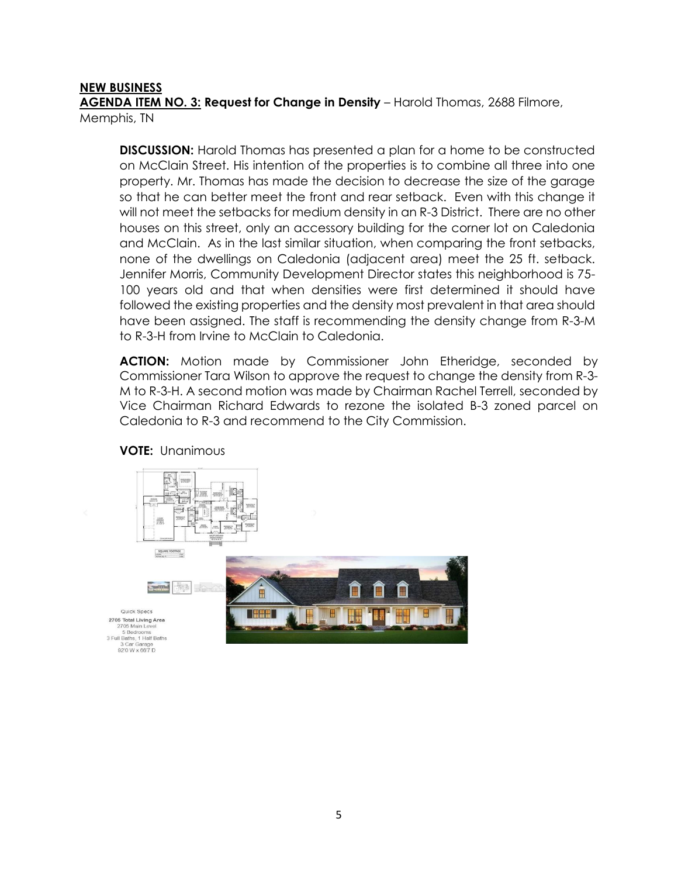## **NEW BUSINESS**

**AGENDA ITEM NO. 3: Request for Change in Density** – Harold Thomas, 2688 Filmore, Memphis, TN

**DISCUSSION:** Harold Thomas has presented a plan for a home to be constructed on McClain Street. His intention of the properties is to combine all three into one property. Mr. Thomas has made the decision to decrease the size of the garage so that he can better meet the front and rear setback. Even with this change it will not meet the setbacks for medium density in an R-3 District. There are no other houses on this street, only an accessory building for the corner lot on Caledonia and McClain. As in the last similar situation, when comparing the front setbacks, none of the dwellings on Caledonia (adjacent area) meet the 25 ft. setback. Jennifer Morris, Community Development Director states this neighborhood is 75- 100 years old and that when densities were first determined it should have followed the existing properties and the density most prevalent in that area should have been assigned. The staff is recommending the density change from R-3-M to R-3-H from Irvine to McClain to Caledonia.

**ACTION:** Motion made by Commissioner John Etheridge, seconded by Commissioner Tara Wilson to approve the request to change the density from R-3- M to R-3-H. A second motion was made by Chairman Rachel Terrell, seconded by Vice Chairman Richard Edwards to rezone the isolated B-3 zoned parcel on Caledonia to R-3 and recommend to the City Commission.